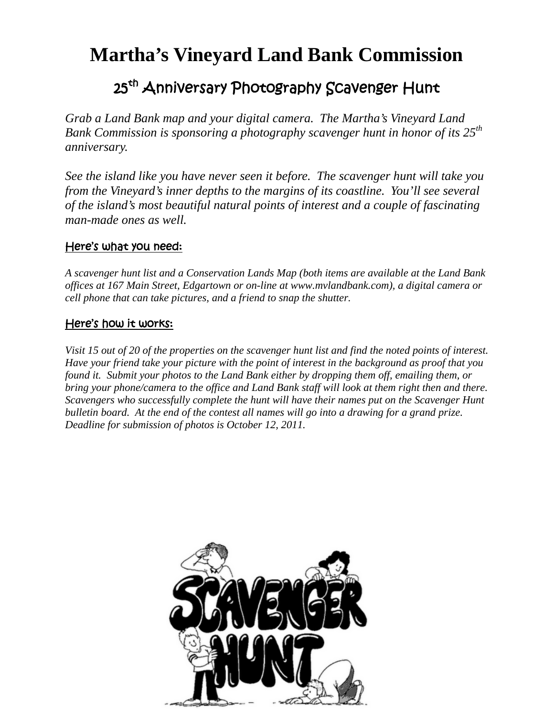# **Martha's Vineyard Land Bank Commission**

## 25<sup>th</sup> Anniversary Photography Scavenger Hunt

*Grab a Land Bank map and your digital camera. The Martha's Vineyard Land Bank Commission is sponsoring a photography scavenger hunt in honor of its 25th anniversary.* 

*See the island like you have never seen it before. The scavenger hunt will take you from the Vineyard's inner depths to the margins of its coastline. You'll see several of the island's most beautiful natural points of interest and a couple of fascinating man-made ones as well.* 

#### Here's what you need:

*A scavenger hunt list and a Conservation Lands Map (both items are available at the Land Bank offices at 167 Main Street, Edgartown or on-line at www.mvlandbank.com), a digital camera or cell phone that can take pictures, and a friend to snap the shutter.* 

#### Here's how it works:

*Visit 15 out of 20 of the properties on the scavenger hunt list and find the noted points of interest. Have your friend take your picture with the point of interest in the background as proof that you found it. Submit your photos to the Land Bank either by dropping them off, emailing them, or bring your phone/camera to the office and Land Bank staff will look at them right then and there. Scavengers who successfully complete the hunt will have their names put on the Scavenger Hunt bulletin board. At the end of the contest all names will go into a drawing for a grand prize. Deadline for submission of photos is October 12, 2011.*